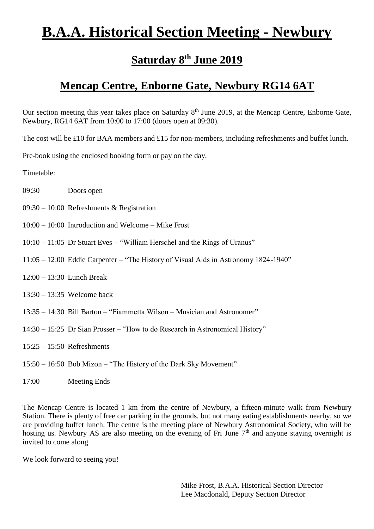## **B.A.A. Historical Section Meeting - Newbury**

## **Saturday 8 th June 2019**

## **Mencap Centre, Enborne Gate, Newbury RG14 6AT**

Our section meeting this year takes place on Saturday 8<sup>th</sup> June 2019, at the Mencap Centre, Enborne Gate, Newbury, RG14 6AT from 10:00 to 17:00 (doors open at 09:30).

The cost will be £10 for BAA members and £15 for non-members, including refreshments and buffet lunch.

Pre-book using the enclosed booking form or pay on the day.

Timetable:

- 09:30 Doors open
- 09:30 10:00 Refreshments & Registration
- 10:00 10:00 Introduction and Welcome Mike Frost
- 10:10 11:05 Dr Stuart Eves "William Herschel and the Rings of Uranus"
- 11:05 12:00 Eddie Carpenter "The History of Visual Aids in Astronomy 1824-1940"
- 12:00 13:30 Lunch Break
- 13:30 13:35 Welcome back
- 13:35 14:30 Bill Barton "Fiammetta Wilson Musician and Astronomer"
- 14:30 15:25 Dr Sian Prosser "How to do Research in Astronomical History"
- 15:25 15:50 Refreshments
- 15:50 16:50 Bob Mizon "The History of the Dark Sky Movement"
- 17:00 Meeting Ends

The Mencap Centre is located 1 km from the centre of Newbury, a fifteen-minute walk from Newbury Station. There is plenty of free car parking in the grounds, but not many eating establishments nearby, so we are providing buffet lunch. The centre is the meeting place of Newbury Astronomical Society, who will be hosting us. Newbury AS are also meeting on the evening of Fri June  $7<sup>th</sup>$  and anyone staying overnight is invited to come along.

We look forward to seeing you!

Mike Frost, B.A.A. Historical Section Director Lee Macdonald, Deputy Section Director